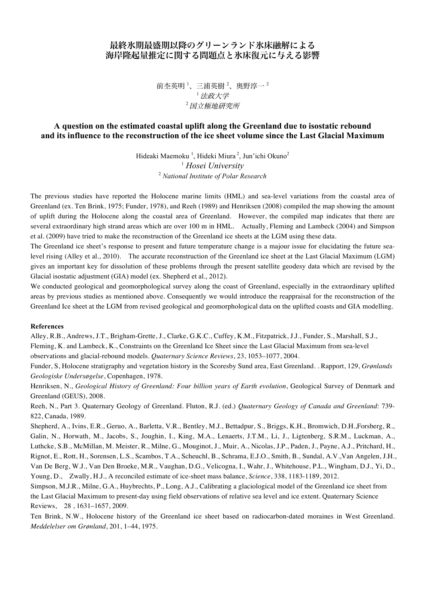## 最終氷期最盛期以降のグリーンランド氷床融解による 海岸隆起量推定に関する問題点と氷床復元に与える影響

前杢英明  $^1$ 、三浦英樹  $^2$ 、奥野淳一  $^2$ <sup>1</sup>法政大学 <sup>2</sup>国立極地研究所

## **A question on the estimated coastal uplift along the Greenland due to isostatic rebound and its influence to the reconstruction of the ice sheet volume since the Last Glacial Maximum**

Hideaki Maemoku<sup>1</sup>, Hideki Miura<sup>2</sup>, Jun'ichi Okuno<sup>2</sup> <sup>1</sup> *Hosei University* <sup>2</sup> *National Institute of Polar Research*

The previous studies have reported the Holocene marine limits (HML) and sea-level variations from the coastal area of Greenland (ex. Ten Brink, 1975; Funder, 1978), and Reeh (1989) and Henriksen (2008) compiled the map showing the amount of uplift during the Holocene along the coastal area of Greenland. However, the compiled map indicates that there are several extraordinary high strand areas which are over 100 m in HML. Actually, Fleming and Lambeck (2004) and Simpson et al. (2009) have tried to make the reconstruction of the Greenland ice sheets at the LGM using these data.

The Greenland ice sheet's response to present and future temperature change is a majour issue for elucidating the future sealevel rising (Alley et al., 2010). The accurate reconstruction of the Greenland ice sheet at the Last Glacial Maximum (LGM) gives an important key for dissolution of these problems through the present satellite geodesy data which are revised by the Glacial isostatic adjustment (GIA) model (ex. Shepherd et al., 2012).

We conducted geological and geomorphological survey along the coast of Greenland, especially in the extraordinary uplifted areas by previous studies as mentioned above. Consequently we would introduce the reappraisal for the reconstruction of the Greenland Ice sheet at the LGM from revised geological and geomorphological data on the uplifted coasts and GIA modelling.

## **References**

Alley, R.B., Andrews, J.T., Brigham-Grette, J., Clarke, G.K.C., Cuffey, K.M., Fitzpatrick, J.J., Funder, S., Marshall, S.J., Fleming, K. and Lambeck, K., Constraints on the Greenland Ice Sheet since the Last Glacial Maximum from sea-level observations and glacial-rebound models. *Quaternary Science Reviews*, 23, 1053–1077, 2004.

Funder, S, Holocene stratigraphy and vegetation history in the Scoresby Sund area, East Greenland. . Rapport, 129, *Grønlands Geologiske Undersøgelse*, Copenhagen, 1978.

Henriksen, N., *Geological History of Greenland: Four billion years of Earth evolution*, Geological Survey of Denmark and Greenland (GEUS), 2008.

Reeh, N., Part 3. Quaternary Geology of Greenland. Fluton, R.J. (ed.) *Quaternary Geology of Canada and Greenland*: 739- 822, Canada, 1989.

Shepherd, A., Ivins, E.R., Geruo, A., Barletta, V.R., Bentley, M.J., Bettadpur, S., Briggs, K.H., Bromwich, D.H.,Forsberg, R., Galin, N., Horwath, M., Jacobs, S., Joughin, I., King, M.A., Lenaerts, J.T.M., Li, J., Ligtenberg, S.R.M., Luckman, A., Luthcke, S.B., McMillan, M. Meister, R., Milne, G., Mouginot, J., Muir, A., Nicolas, J.P., Paden, J., Payne, A.J., Pritchard, H., Rignot, E., Rott, H., Sorensen, L.S., Scambos, T.A., Scheuchl, B., Schrama, E.J.O., Smith, B., Sundal, A.V.,Van Angelen, J.H., Van De Berg, W.J., Van Den Broeke, M.R., Vaughan, D.G., Velicogna, I., Wahr, J., Whitehouse, P.L., Wingham, D.J., Yi, D., Young, D., Zwally, H.J., A reconciled estimate of ice-sheet mass balance, *Science*, 338, 1183-1189, 2012.

Simpson, M.J.R., Milne, G.A., Huybrechts, P., Long, A.J., Calibrating a glaciological model of the Greenland ice sheet from the Last Glacial Maximum to present-day using field observations of relative sea level and ice extent. Quaternary Science Reviews, 28 , 1631–1657, 2009.

Ten Brink, N.W., Holocene history of the Greenland ice sheet based on radiocarbon-dated moraines in West Greenland. *Meddelelser om Grønland*, 201, 1–44, 1975.